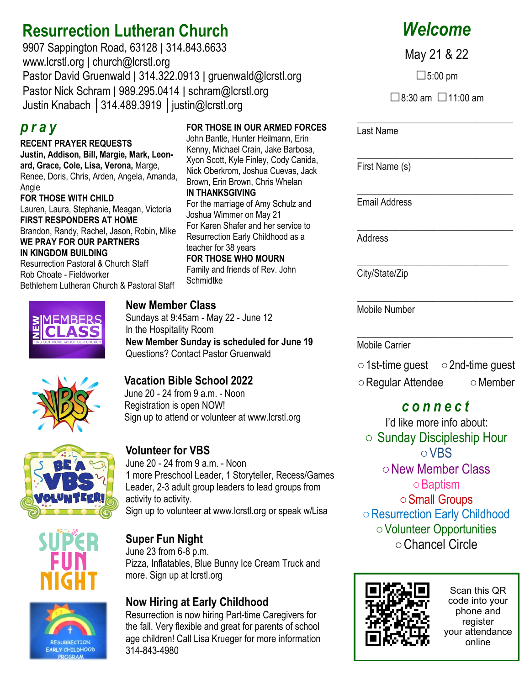# **Resurrection Lutheran Church**

9907 Sappington Road, 63128 ǀ 314.843.6633 www.lcrstl.org ǀ church@lcrstl.org Pastor David Gruenwald | 314.322.0913 | gruenwald@lcrstl.org Pastor Nick Schram | 989.295.0414 | schram@lcrstl.org Justin Knabach │314.489.3919 │justin@lcrstl.org

### *p r a y*

**RECENT PRAYER REQUESTS Justin, Addison, Bill, Margie, Mark, Leonard, Grace, Cole, Lisa, Verona,** Marge, Renee, Doris, Chris, Arden, Angela, Amanda, **Angie FOR THOSE WITH CHILD** Lauren, Laura, Stephanie, Meagan, Victoria **FIRST RESPONDERS AT HOME**  Brandon, Randy, Rachel, Jason, Robin, Mike **WE PRAY FOR OUR PARTNERS IN KINGDOM BUILDING** Resurrection Pastoral & Church Staff Rob Choate - Fieldworker Bethlehem Lutheran Church & Pastoral Staff



# John Bantle, Hunter Heilmann, Erin

**FOR THOSE IN OUR ARMED FORCES** 

Kenny, Michael Crain, Jake Barbosa, Xyon Scott, Kyle Finley, Cody Canida, Nick Oberkrom, Joshua Cuevas, Jack Brown, Erin Brown, Chris Whelan **IN THANKSGIVING** For the marriage of Amy Schulz and Joshua Wimmer on May 21 For Karen Shafer and her service to Resurrection Early Childhood as a teacher for 38 years **FOR THOSE WHO MOURN** Family and friends of Rev. John **Schmidtke** 

#### **New Member Class**

Sundays at 9:45am - May 22 - June 12 In the Hospitality Room **New Member Sunday is scheduled for June 19** Questions? Contact Pastor Gruenwald

#### **Vacation Bible School 2022**

June 20 - 24 from 9 a.m. - Noon Registration is open NOW! Sign up to attend or volunteer at www.lcrstl.org



#### **Volunteer for VBS**

June 20 - 24 from 9 a.m. - Noon 1 more Preschool Leader, 1 Storyteller, Recess/Games Leader, 2-3 adult group leaders to lead groups from activity to activity. Sign up to volunteer at www.lcrstl.org or speak w/Lisa



#### **Super Fun Night**

June 23 from 6-8 p.m. Pizza, Inflatables, Blue Bunny Ice Cream Truck and more. Sign up at lcrstl.org

#### **Now Hiring at Early Childhood**

Resurrection is now hiring Part-time Caregivers for the fall. Very flexible and great for parents of school age children! Call Lisa Krueger for more information 314-843-4980

# *Welcome*

May 21 & 22

 $\square$ 5:00 pm

 $\Box$ 8:30 am  $\Box$ 11:00 am

\_\_\_\_\_\_\_\_\_\_\_\_\_\_\_\_\_\_\_\_\_\_\_\_\_\_\_\_\_\_\_\_\_

\_\_\_\_\_\_\_\_\_\_\_\_\_\_\_\_\_\_\_\_\_\_\_\_\_\_\_\_\_\_\_\_\_

Last Name

\_\_\_\_\_\_\_\_\_\_\_\_\_\_\_\_\_\_\_\_\_\_\_\_\_\_\_\_\_\_\_\_\_ First Name (s)

Email Address

\_\_\_\_\_\_\_\_\_\_\_\_\_\_\_\_\_\_\_\_\_\_\_\_\_\_\_\_\_\_\_\_\_ Address

\_\_\_\_\_\_\_\_\_\_\_\_\_\_\_\_\_\_\_\_\_\_\_\_\_\_\_\_\_\_\_\_ City/State/Zip

\_\_\_\_\_\_\_\_\_\_\_\_\_\_\_\_\_\_\_\_\_\_\_\_\_\_\_\_\_\_\_\_\_ Mobile Number

\_\_\_\_\_\_\_\_\_\_\_\_\_\_\_\_\_\_\_\_\_\_\_\_\_\_\_\_\_\_\_\_\_ Mobile Carrier

○1st-time guest ○2nd-time guest ○Regular Attendee ○Member

## *c o n n e c t*

I'd like more info about: ○ Sunday Discipleship Hour ○VBS ○New Member Class ○Baptism ○Small Groups ○Resurrection Early Childhood ○Volunteer Opportunities ○Chancel Circle



Scan this QR code into your phone and register your attendance online